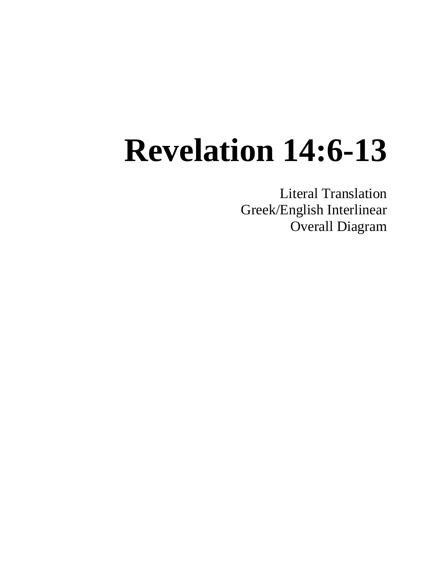Literal Translation Greek/English Interlinear Overall Diagram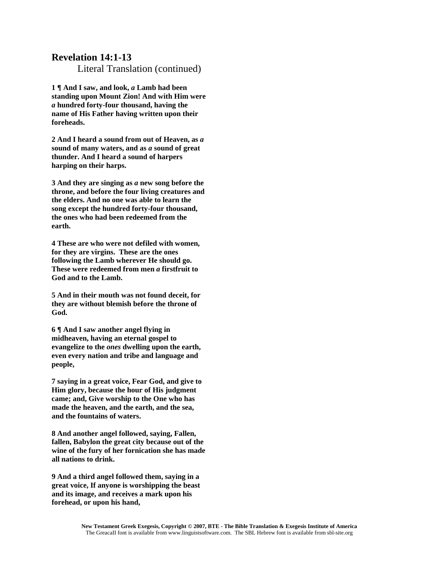Literal Translation (continued)

**1 ¶ And I saw, and look,** *a* **Lamb had been standing upon Mount Zion! And with Him were**  *a* **hundred forty-four thousand, having the name of His Father having written upon their foreheads.**

**2 And I heard a sound from out of Heaven, as** *a* **sound of many waters, and as** *a* **sound of great thunder. And I heard a sound of harpers harping on their harps.**

**3 And they are singing as** *a* **new song before the throne, and before the four living creatures and the elders. And no one was able to learn the song except the hundred forty-four thousand, the ones who had been redeemed from the earth.**

**4 These are who were not defiled with women, for they are virgins. These are the ones following the Lamb wherever He should go. These were redeemed from men** *a* **firstfruit to God and to the Lamb.**

**5 And in their mouth was not found deceit, for they are without blemish before the throne of God.**

**6 ¶ And I saw another angel flying in midheaven, having an eternal gospel to evangelize to the** *ones* **dwelling upon the earth, even every nation and tribe and language and people,**

**7 saying in a great voice, Fear God, and give to Him glory, because the hour of His judgment came; and, Give worship to the One who has made the heaven, and the earth, and the sea, and the fountains of waters.** 

**8 And another angel followed, saying, Fallen, fallen, Babylon the great city because out of the wine of the fury of her fornication she has made all nations to drink.**

**9 And a third angel followed them, saying in a great voice, If anyone is worshipping the beast and its image, and receives a mark upon his forehead, or upon his hand,**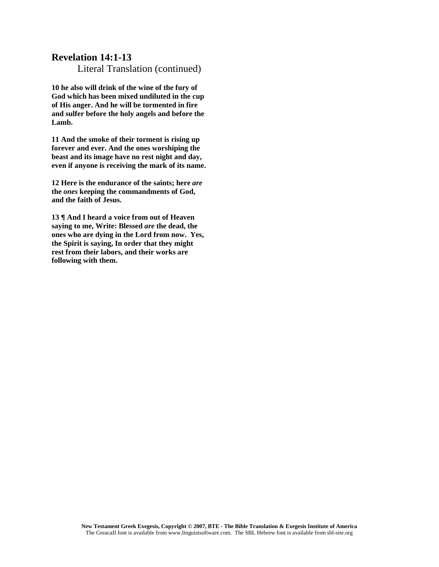Literal Translation (continued)

**10 he also will drink of the wine of the fury of God which has been mixed undiluted in the cup of His anger. And he will be tormented in fire and sulfer before the holy angels and before the Lamb.**

**11 And the smoke of their torment is rising up forever and ever. And the ones worshiping the beast and its image have no rest night and day, even if anyone is receiving the mark of its name.**

**12 Here is the endurance of the saints; here** *are*  **the** *ones* **keeping the commandments of God, and the faith of Jesus.**

**13 ¶ And I heard a voice from out of Heaven saying to me, Write: Blessed** *are* **the dead, the ones who are dying in the Lord from now. Yes, the Spirit is saying, In order that they might rest from their labors, and their works are following with them.**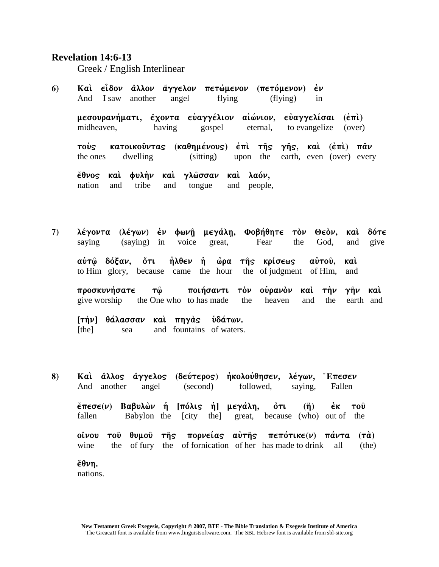Greek / English Interlinear

6) Καὶ εἶδον ἄλλον ἄγγελον πετώμενον (πετόμενον) εν And I saw another angel flying (flying) in

μεσουρανήματι, έχοντα εὐαγγέλιον αἰώνιον, εὐαγγελίσαι (ἐπὶ) midheaven, having gospel eternal, to evangelize (over)

**τούς κατοικούντας (καθημένους) έπι της γης, και (έπι) παν** the ones dwelling (sitting) upon the earth, even (over) every

**έθνος καὶ φυλὴν καὶ γλῶσσαν καὶ λαόν,** nation and tribe and tongue and people,

7) λέγοντα (λέγων) εν φωνῆ μεγάλη, Φοβήθητε τὸν Θεὸν, καὶ δότε saying (saying) in voice great, Fear the God, and give **aὐτῶ δόξαν, ὅτι ἦλθεν ἡ ὥρα τῆς κρίσεως αὐτοῦ, καὶ** to Him glory, because came the hour the of judgment of Him, and

**proskunhvsate tw`/ poihvsanti to;n oujrano;n kai; th;n gh`n kai;**  give worship the One who to has made the heaven and the earth and

**[th;n] qavlassan kai; phga;" uJdavtwn.**  [the] sea and fountains of waters.

8) Καὶ ἄλλος ἄγγελος (δεύτερος) ἠκολούθησεν, λέγων, Έπεσεν And another angel (second) followed, saying, Fallen *έπεσε(ν)* **Βαβυλών ή [πόλις ή] μεγάλη, ότι (ή) εκ του̂** fallen Babylon the [city the] great, because (who) out of the **o**ίνου τοῦ θυμοῦ τῆς πορνείας αὐτῆς πεπότικε(ν) πάντα (τὰ) wine the of fury the of fornication of her has made to drink all (the)  $\epsilon$ θνη.

nations.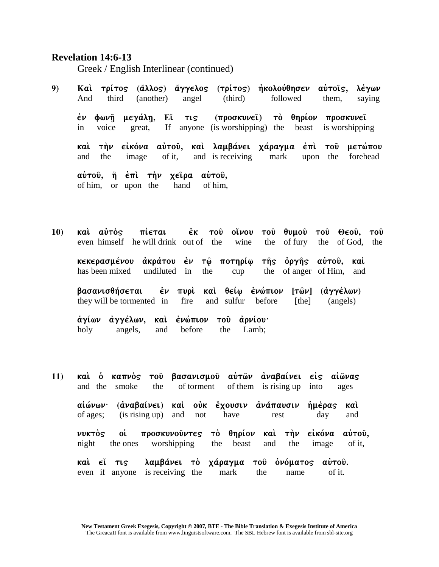Greek / English Interlinear (continued)

- 9) Καί τρίτος (ἄλλος) ἄγγελος (τρίτος) ἠκολούθησεν αὐτοῖς, λέγων And third (another) angel (third) followed them, saying έν φωνῆ μεγάλῃ, Eἴ τις (προσκυνεῖ) τὸ θηρίον προσκυνεῖ in voice great, If anyone (is worshipping) the beast is worshipping **καὶ τὴν εἰκόνα αὐτοῦ, καὶ λαμβάνει χάραγμα ἐπὶ τοῦ μετώπου** and the image of it, and is receiving mark upon the forehead **aύτου, η έπι την χείρα αύτου,** of him, or upon the hand of him,
- 10) **καί αύτός πίεται εκ του οίνου του θυμου του Θεου, του** even himself he will drink out of the wine the of fury the of God, the **κεκερασμένου ἀκράτου ἐν τῶ ποτηρίω τῆς ὀργῆς αὐτοῦ, καὶ** has been mixed undiluted in the cup the of anger of Him, and **βασανισθήσεται έν πυρί καὶ θείω ἐνώπιον [τῶν] (ἀγγέλων)**

they will be tormented in fire and sulfur before [the] (angels)

<u>άγίων αγγέλων, καὶ ἐνώπιον τοῦ ἀρνίου·</u> holy angels, and before the Lamb;

11) **καί ο καπνος του βασανισμου αυτών αναβαίνει είς αίώνας** and the smoke the of torment of them is rising up into ages aἰώνων· (αναβαίνει) καὶ οὐκ ἔχουσιν ανάπαυσιν ἡμέρας καὶ of ages; (is rising up) and not have rest day and νυκτός οί προσκυνοῦντες τὸ θηρίον καὶ τὴν εἰκόνα αὐτοῦ, night the ones worshipping the beast and the image of it, **καὶ εἴ τις λαμβάνει τὸ χάραγμα τοῦ ὀνόματος αὐτοῦ.** even if anyone is receiving the mark the name of it.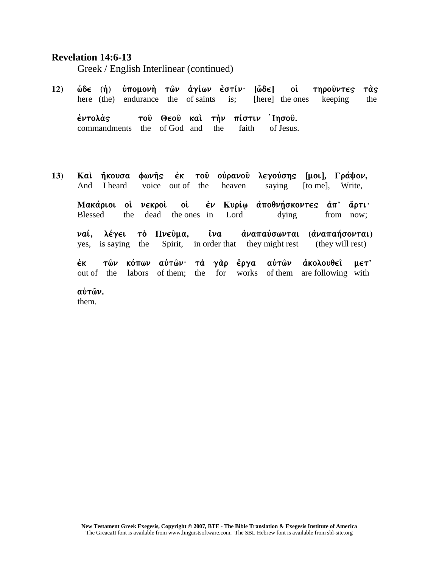Greek / English Interlinear (continued)

**12)**  $\hat{\omega}$ δε (ή) ύπομονή τ $\hat{\omega}$ ν άγίων έστίν· [ $\hat{\omega}$ δε] οι τηρούντες τας here (the) endurance the of saints is; [here] the ones keeping the

έντολάς τοῦ Θεοῦ καὶ τὴν πίστιν Ἰησοῦ. commandments the of God and the faith of Jesus.

13) Καί ήκουσα φωνής έκ του ούρανου λεγούσης [μοι], Γράψον, And I heard voice out of the heaven saying [to me], Write,

Maκάριοι οἱ νεκροὶ οἱ ἐν Κυρίω ἀποθνήσκοντες ἀπ' ἄρτι· Blessed the dead the ones in Lord dying from now;

**ναί, λέγει το Πνεύμα, <sup>γ</sup>ίνα αναπαύσωνται (αναπαήσονται)** yes, is saying the Spirit, in order that they might rest (they will rest)

έκ τῶν κόπων αὐτῶν· τὰ γὰρ ἔργα αὐτῶν ἀκολουθ**εῖ με**τ' out of the labors of them; the for works of them are following with

**αύτων.** 

them.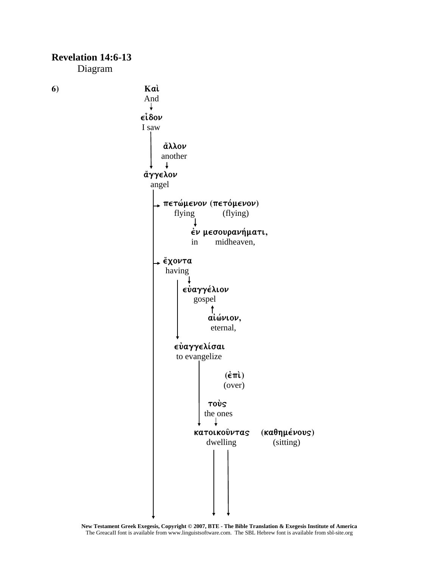

**New Testament Greek Exegesis, Copyright © 2007, BTE - The Bible Translation & Exegesis Institute of America** The GreacaII font is available from www.linguistsoftware.com. The SBL Hebrew font is available from sbl-site.org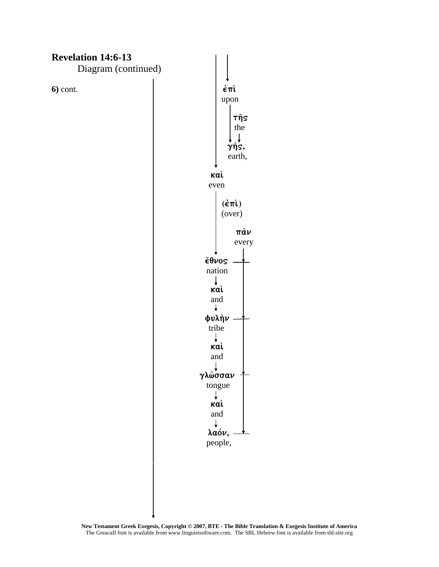

**New Testament Greek Exegesis, Copyright © 2007, BTE - The Bible Translation & Exegesis Institute of America** The GreacaII font is available from www.linguistsoftware.com. The SBL Hebrew font is available from sbl-site.org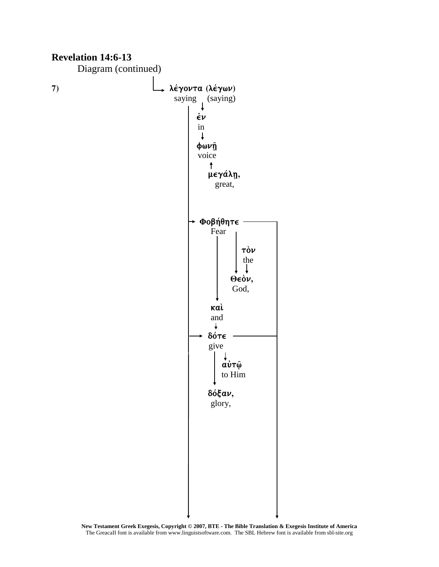

**New Testament Greek Exegesis, Copyright © 2007, BTE - The Bible Translation & Exegesis Institute of America** The GreacaII font is available from www.linguistsoftware.com. The SBL Hebrew font is available from sbl-site.org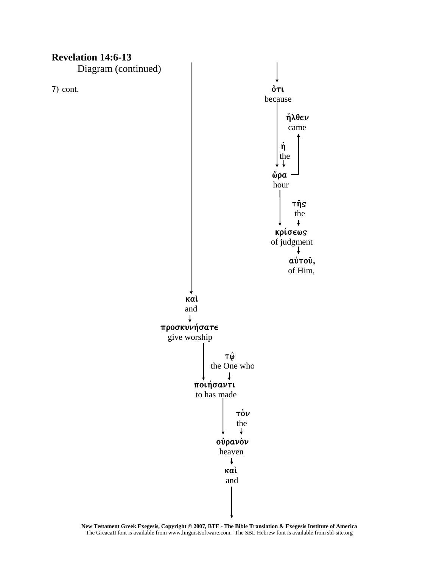

**New Testament Greek Exegesis, Copyright © 2007, BTE - The Bible Translation & Exegesis Institute of America** The GreacaII font is available from www.linguistsoftware.com. The SBL Hebrew font is available from sbl-site.org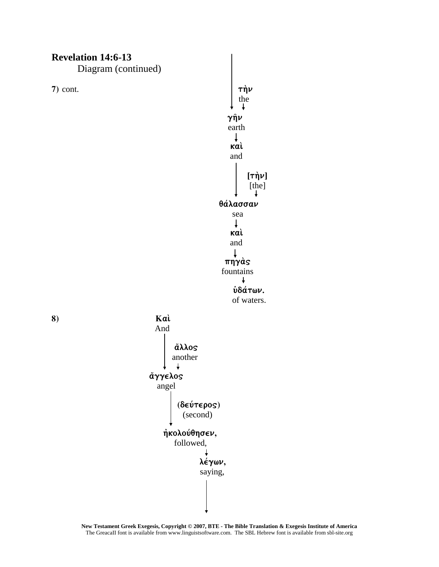

**New Testament Greek Exegesis, Copyright © 2007, BTE - The Bible Translation & Exegesis Institute of America** The GreacaII font is available from www.linguistsoftware.com. The SBL Hebrew font is available from sbl-site.org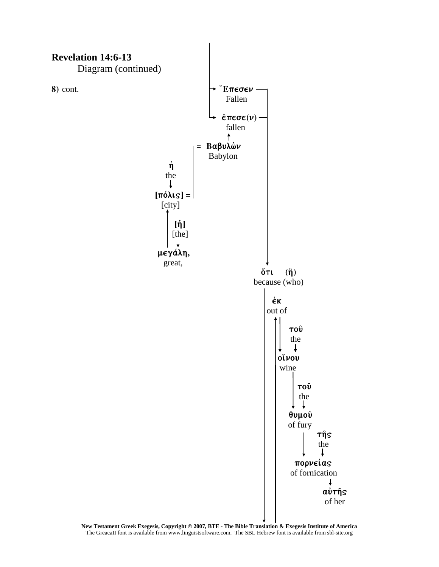

**New Testament Greek Exegesis, Copyright © 2007, BTE - The Bible Translation & Exegesis Institute of America** The GreacaII font is available from www.linguistsoftware.com. The SBL Hebrew font is available from sbl-site.org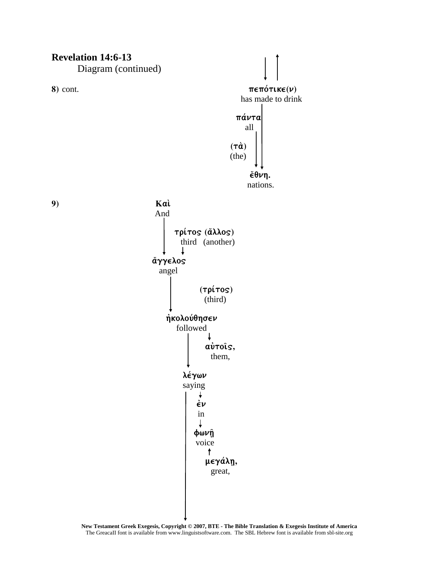Diagram (continued)



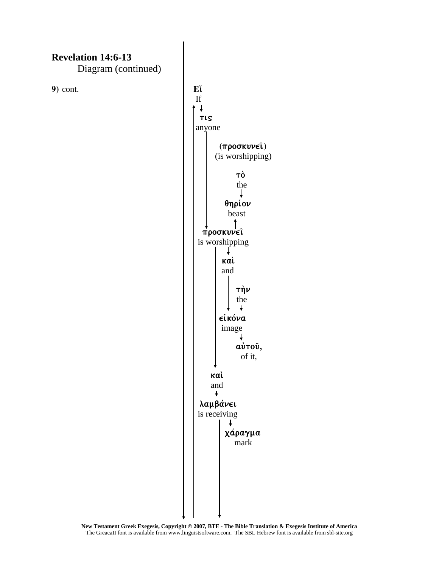Diagram (continued)

**9**) cont.  $E\mathbf{\tilde{t}}$ 

 If  $\downarrow$  $\begin{array}{|c|c|c|c|c|}\n\hline\n\text{true} & \text{true} & \text{true} \end{array}$  anyone  **(proskunei`)**  (is worshipping) **to;**  $\mathbf{t}$  to  $\mathbf{t}$  to  $\mathbf{t}$  to  $\mathbf{t}$  to  $\mathbf{t}$  to  $\mathbf{t}$  to  $\mathbf{t}$ the state of the state of the state of the state of the state of the state of the state of the state of the state of the state of the state of the state of the state of the state of the state of the state of the state of t  $\theta$ ηρίον beast and the set of the set of the set of the set of the set of the set of the set of the set of the set of the set of the set of the set of the set of the set of the set of the set of the set of the set of the set of the  $\pi$ ροσκυνει is worshipping  $\downarrow$  *kai*  $\vert \vert$  **kai**  and  $\vert \vert$   $\vert$   $\vert$   $\tau \eta \nu$ the contract of the state of the state of the state of the state of the state of the state of the state of the  $\ddot{\phantom{1}}$ *είκόνα*  image ↓ **α**ύτου̂, of it, **kai;**  $k = \frac{1}{2}$  **kai**;  $k = \frac{1}{2}$  **kai**;  $k = \frac{1}{2}$  **kai**;  $k = \frac{1}{2}$  **kai**;  $k = \frac{1}{2}$  **kai**;  $k = \frac{1}{2}$  **kai**;  $k = \frac{1}{2}$  **kai**;  $k = \frac{1}{2}$  **kai**;  $k = \frac{1}{2}$  **kai**;  $k = \frac{1}{2}$  **kai**;  $k = \frac{1}{2}$  **kai**;  $k = \frac$  and  $\lambda$ αμβάνει is receiving T **χάραγμα** mark and the state of the mark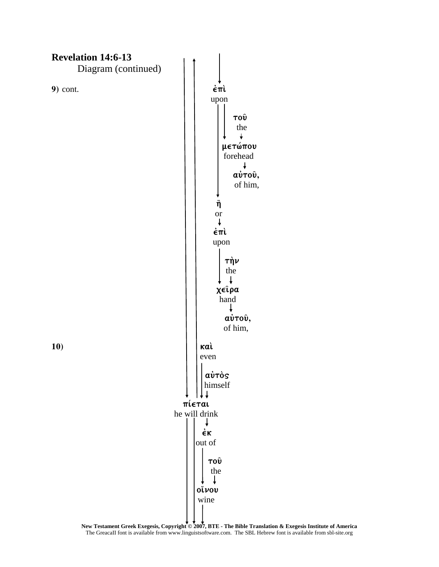

**New Testament Greek Exegesis, Copyright © 2007, BTE - The Bible Translation & Exegesis Institute of America** The GreacaII font is available from www.linguistsoftware.com. The SBL Hebrew font is available from sbl-site.org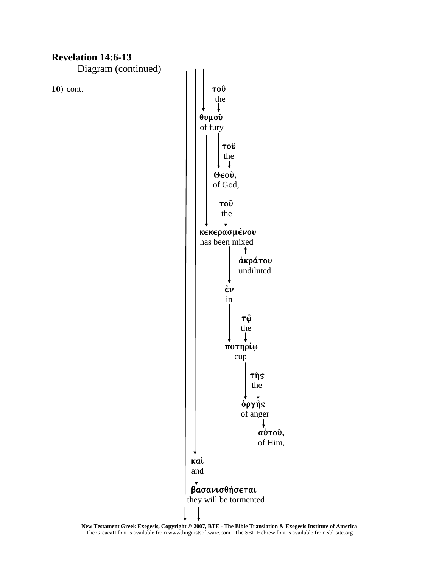Diagram (continued)



**New Testament Greek Exegesis, Copyright © 2007, BTE - The Bible Translation & Exegesis Institute of America** The GreacaII font is available from www.linguistsoftware.com. The SBL Hebrew font is available from sbl-site.org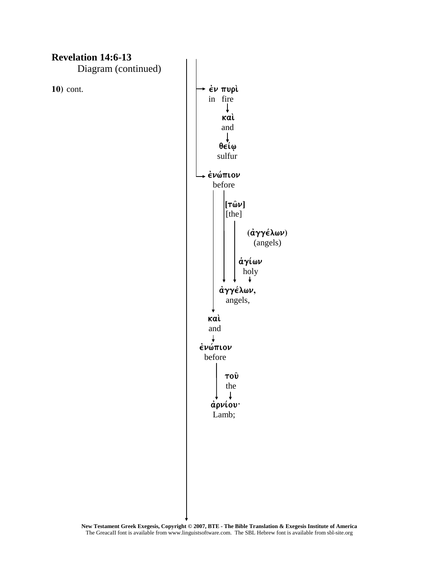Diagram (continued)

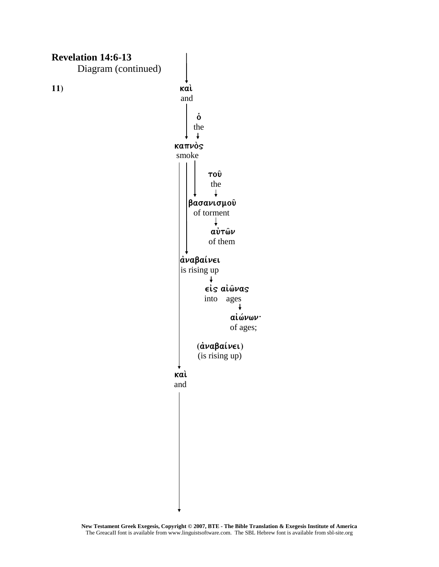

**New Testament Greek Exegesis, Copyright © 2007, BTE - The Bible Translation & Exegesis Institute of America** The GreacaII font is available from www.linguistsoftware.com. The SBL Hebrew font is available from sbl-site.org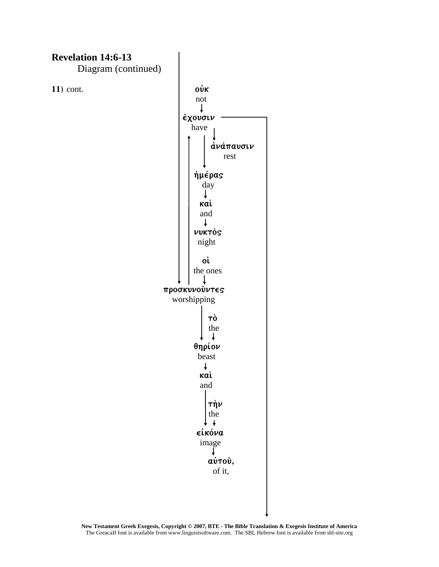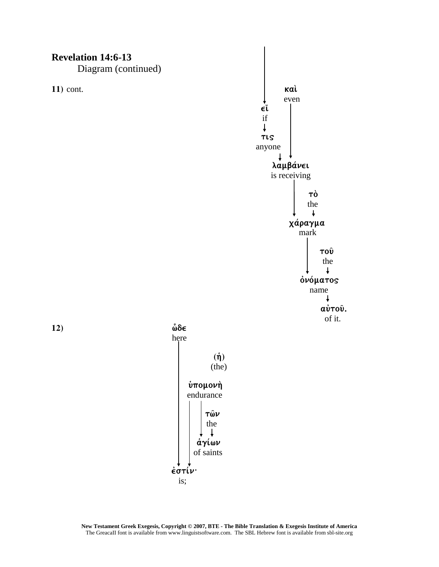Diagram (continued)

here where the state of the state of the state of the state of the state of the state of the state of the state of the state of the state of the state of the state of the state of the state of the state of the state of the



**12)** ιδιαίτερα το προσπάθει της προσπάθειας της προσπάθειας της προσπάθειας της προσπάθειας της προσπάθειας της προσπάθειας της προσπάθειας της προσπάθειας της προσπάθειας της προσπάθειας της προσπάθειας της προσπάθειας

**έστίν** 

is;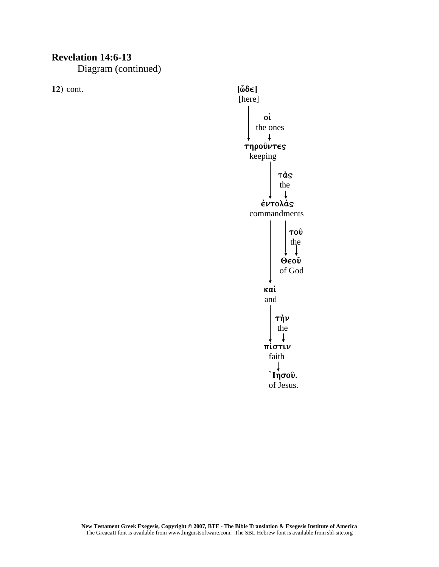Diagram (continued)

**12**) cont. **[** $\hat{\omega} \delta \epsilon$ ]

[here]  $\sim$  0.000  $\sim$  0.000  $\sim$  0.000  $\sim$  0.0000  $\sim$  0.0000  $\sim$  0.0000  $\sim$  0.0000  $\sim$  0.0000  $\sim$  0.0000  $\sim$  0.0000  $\sim$  0.0000  $\sim$  0.0000  $\sim$  0.0000  $\sim$  0.0000  $\sim$  0.0000  $\sim$  0.0000  $\sim$  0.0000  $\sim$  0.0000  $\sim$  0.0 the ones  $\downarrow$  $\tau$ ηρούντες keeping  $\frac{1}{2}$  ta;  $\frac{1}{2}$  ta;  $\frac{1}{2}$  ta;  $\frac{1}{2}$  ta;  $\frac{1}{2}$  ta;  $\frac{1}{2}$  ta;  $\frac{1}{2}$  ta;  $\frac{1}{2}$  ta;  $\frac{1}{2}$  ta;  $\frac{1}{2}$  ta;  $\frac{1}{2}$  ta;  $\frac{1}{2}$  ta;  $\frac{1}{2}$  ta;  $\frac{1}{2}$  ta;  $\frac{1}{2}$  ta;  $\frac{1}{2}$  t the state of the state of the state of the state of the state of the state of the state of the state of the state of the state of the state of the state of the state of the state of the state of the state of the state of t  $\perp$  $\epsilon$ ντολάς commandments  $\vert$   $\vert$  to $\hat{v}$ the contract of the contract of the contract of the contract of the contract of the contract of the contract of the contract of the contract of the contract of the contract of the contract of the contract of the contract o  $\theta$   $\cos \theta$  **Qeo**  $\theta$  **Qeo**  $\theta$  of God  $k$ ai;  $k$ ai;  $k$ ai;  $k$ ai;  $k$ ai;  $k$ ai;  $k$ ai;  $k$ ai;  $k$ and and a structure of the structure of the structure of the structure of the structure of the structure of the structure of the structure of the structure of the structure of the structure of the structure of the structur  $\frac{1}{\pi}$  the set of  $\frac{1}{\pi}$  the set of  $\frac{1}{\pi}$  the set of  $\frac{1}{\pi}$  the set of  $\frac{1}{\pi}$  the set of  $\frac{1}{\pi}$  set of  $\frac{1}{\pi}$  set of  $\frac{1}{\pi}$  set of  $\frac{1}{\pi}$  set of  $\frac{1}{\pi}$  set of  $\frac{1}{\pi}$  set of  $\frac$ the state of the state of the state of the state of the state of the state of the state of the state of the state of the state of the state of the state of the state of the state of the state of the state of the state of t  $\downarrow$ **πίστιν faith** that the contract of the contract of the contract of the contract of the contract of the contract of the contract of the contract of the contract of the contract of the contract of the contract of the contract of t  **jIhsou`.**  of Jesus.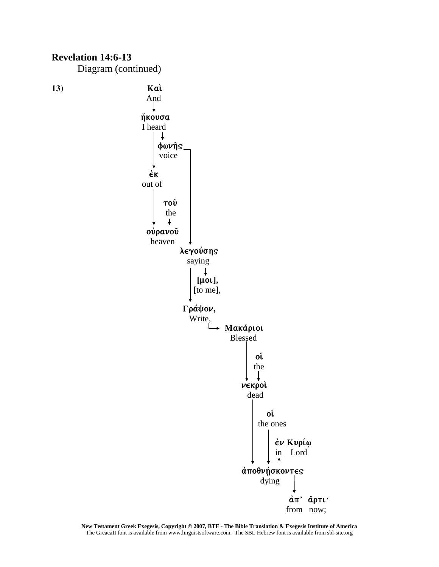

**New Testament Greek Exegesis, Copyright © 2007, BTE - The Bible Translation & Exegesis Institute of America** The GreacaII font is available from www.linguistsoftware.com. The SBL Hebrew font is available from sbl-site.org